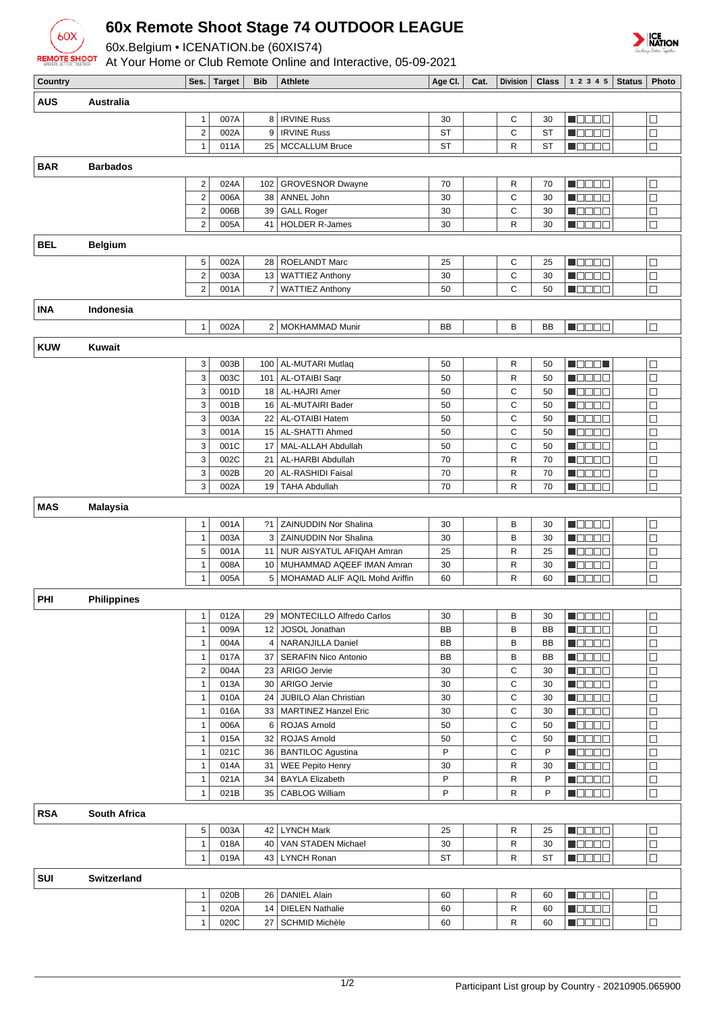

## **60x Remote Shoot Stage 74 OUTDOOR LEAGUE**

60x.Belgium • ICENATION.be (60XIS74)

At Your Home or Club Remote Online and Interactive, 05-09-2021



| Country    |                     | Ses.                         | <b>Target</b> | <b>Bib</b> | <b>Athlete</b>                                | Age Cl.   | Cat. | <b>Division</b> | $Class \vert$ | 12345<br><b>Status</b>                                 | Photo                    |
|------------|---------------------|------------------------------|---------------|------------|-----------------------------------------------|-----------|------|-----------------|---------------|--------------------------------------------------------|--------------------------|
| <b>AUS</b> | Australia           |                              |               |            |                                               |           |      |                 |               |                                                        |                          |
|            |                     | $\mathbf{1}$                 | 007A          |            | 8   IRVINE Russ                               | 30        |      | С               | 30            | NOOOO                                                  | ⊒                        |
|            |                     | $\overline{2}$               | 002A          | 9          | <b>IRVINE Russ</b>                            | <b>ST</b> |      | C               | <b>ST</b>     | a de Ele                                               | $\Box$                   |
|            |                     | $\mathbf{1}$                 | 011A          |            | 25   MCCALLUM Bruce                           | <b>ST</b> |      | R               | <b>ST</b>     | <b>M</b> OOOC                                          | $\Box$                   |
|            |                     |                              |               |            |                                               |           |      |                 |               |                                                        |                          |
| <b>BAR</b> | <b>Barbados</b>     |                              |               |            |                                               |           |      |                 |               |                                                        |                          |
|            |                     | $\overline{2}$               | 024A          | 102        | <b>GROVESNOR Dwayne</b>                       | 70        |      | R               | 70            | M B B B B                                              | $\Box$                   |
|            |                     | $\overline{2}$               | 006A          | 38         | ANNEL John                                    | 30        |      | C               | 30            | n da a a                                               | $\Box$                   |
|            |                     | $\overline{\mathbf{c}}$      | 006B          | 39         | <b>GALL Roger</b>                             | 30        |      | C               | 30            | n oo oo a                                              | $\Box$                   |
|            |                     | $\overline{2}$               | 005A          | 41         | <b>HOLDER R-James</b>                         | 30        |      | R               | 30            | $\blacksquare$                                         | $\Box$                   |
| <b>BEL</b> | <b>Belgium</b>      |                              |               |            |                                               |           |      |                 |               |                                                        |                          |
|            |                     | 5                            | 002A          | 28         | ROELANDT Marc                                 | 25        |      | С               | 25            | n de ele                                               | ⊐                        |
|            |                     | $\overline{\mathbf{c}}$      | 003A          |            | 13 WATTIEZ Anthony                            | 30        |      | C               | 30            | n oo oo                                                | $\Box$                   |
|            |                     | $\overline{2}$               | 001A          |            | 7 WATTIEZ Anthony                             | 50        |      | C               | 50            | N O D O O                                              | $\Box$                   |
| <b>INA</b> |                     |                              |               |            |                                               |           |      |                 |               |                                                        |                          |
|            | Indonesia           |                              |               |            |                                               |           |      |                 |               |                                                        |                          |
|            |                     | $\overline{1}$               | 002A          |            | 2 MOKHAMMAD Munir                             | <b>BB</b> |      | B               | <b>BB</b>     | <b>H</b> OOOO                                          | $\Box$                   |
| <b>KUW</b> | Kuwait              |                              |               |            |                                               |           |      |                 |               |                                                        |                          |
|            |                     | 3                            | 003B          |            | 100   AL-MUTARI Mutlaq                        | 50        |      | R               | 50            | MORE I                                                 | $\overline{\phantom{a}}$ |
|            |                     | 3                            | 003C          | 101        | AL-OTAIBI Saqr                                | 50        |      | $\mathsf{R}$    | 50            | M O O O O                                              | $\Box$                   |
|            |                     | 3                            | 001D          |            | 18   AL-HAJRI Amer                            | 50        |      | С               | 50            | n oo oo                                                | $\Box$                   |
|            |                     | 3                            | 001B          |            | 16   AL-MUTAIRI Bader                         | 50        |      | C               | 50            | <b>M</b> OOOQ                                          | $\Box$                   |
|            |                     | 3                            | 003A          | 22         | AL-OTAIBI Hatem                               | 50        |      | C               | 50            | M B B B B                                              | $\Box$                   |
|            |                     | 3                            | 001A          |            | 15   AL-SHATTI Ahmed                          | 50        |      | C               | 50            | M O O O O                                              | $\Box$                   |
|            |                     | 3                            | 001C          |            | 17   MAL-ALLAH Abdullah                       | 50        |      | C               | 50            | TOOOL                                                  | $\Box$                   |
|            |                     | 3                            | 002C          | 21         | AL-HARBI Abdullah                             | 70        |      | R               | 70            | <b>Maaaa</b>                                           | $\Box$                   |
|            |                     | 3                            | 002B          |            | 20 AL-RASHIDI Faisal                          | 70        |      | R               | 70            | de de                                                  | $\Box$                   |
|            |                     | 3                            | 002A          |            | 19 TAHA Abdullah                              | 70        |      | R               | 70            | d dia a                                                | $\Box$                   |
| <b>MAS</b> | <b>Malaysia</b>     |                              |               |            |                                               |           |      |                 |               |                                                        |                          |
|            |                     |                              |               |            | ?1   ZAINUDDIN Nor Shalina                    |           |      |                 |               |                                                        |                          |
|            |                     | $\mathbf{1}$<br>$\mathbf{1}$ | 001A<br>003A  |            | 3 ZAINUDDIN Nor Shalina                       | 30<br>30  |      | В<br>B          | 30<br>30      | n 880a<br><b>M</b> OOOO                                | $\Box$<br>$\Box$         |
|            |                     | 5                            | 001A          |            | 11 NUR AISYATUL AFIQAH Amran                  | 25        |      | R               | 25            | N DE DE                                                | $\Box$                   |
|            |                     | $\overline{1}$               | 008A          |            | 10 MUHAMMAD AQEEF IMAN Amran                  | 30        |      | $\mathsf{R}$    | 30            | d i Biblio                                             | $\Box$                   |
|            |                     | $\mathbf{1}$                 | 005A          |            | 5   MOHAMAD ALIF AQIL Mohd Ariffin            | 60        |      | R               | 60            | MOOOO                                                  | $\Box$                   |
|            |                     |                              |               |            |                                               |           |      |                 |               |                                                        |                          |
| PHI        | <b>Philippines</b>  |                              |               |            |                                               |           |      |                 |               |                                                        |                          |
|            |                     |                              | $1$ 012A      |            | 29 MONTECILLO Alfredo Carlos                  | 30        |      | B               | $30\,$        | $\blacksquare$                                         | $\Box$                   |
|            |                     | $\mathbf{1}$                 | 009A          |            | 12 JOSOL Jonathan                             | BB        |      | в               | ВB            | $\blacksquare$ $\square$ $\square$ $\square$           | $\Box$                   |
|            |                     | $\mathbf{1}$                 | 004A          |            | 4   NARANJILLA Daniel                         | BB        |      | В               | BB            | M O O O O                                              | ⊐                        |
|            |                     | $\mathbf{1}$                 | 017A          |            | 37   SERAFIN Nico Antonio                     | BB        |      | в               | BB            | HOOOO                                                  | □                        |
|            |                     | $\overline{2}$               | 004A          |            | 23   ARIGO Jervie                             | 30        |      | С               | 30            | <u>in die sie in </u>                                  | $\Box$                   |
|            |                     | $\mathbf{1}$                 | 013A          |            | 30   ARIGO Jervie                             | 30        |      | C               | 30            | <b>Maaaa</b>                                           | $\Box$                   |
|            |                     | $\mathbf{1}$                 | 010A          |            | 24 JUBILO Alan Christian                      | 30        |      | С               | 30            | M O O O O                                              | □                        |
|            |                     | $\mathbf{1}$                 | 016A          |            | 33   MARTINEZ Hanzel Eric                     | 30        |      | С               | 30            | MOOO B                                                 | □                        |
|            |                     | $\mathbf{1}$                 | 006A          |            | 6 ROJAS Arnold                                | 50        |      | С               | 50            | <u> NOOCH</u>                                          | $\Box$                   |
|            |                     | $\mathbf{1}$                 | 015A          |            | 32   ROJAS Arnold                             | 50<br>P   |      | С               | 50            | $\blacksquare$ $\square$ $\square$ $\square$           | $\Box$                   |
|            |                     | $\mathbf{1}$                 | 021C          |            | 36   BANTILOC Agustina                        |           |      | C               | P             | M O O O O                                              | $\Box$                   |
|            |                     | $\mathbf{1}$<br>$\mathbf{1}$ | 014A<br>021A  |            | 31   WEE Pepito Henry<br>34   BAYLA Elizabeth | 30<br>P   |      | R<br>R          | 30<br>P       | MOOO B<br>$\blacksquare$ $\square$ $\square$ $\square$ | □<br>$\Box$              |
|            |                     | $\mathbf{1}$                 | 021B          |            | 35   CABLOG William                           | P         |      | R               | P             | $\blacksquare$ $\square$ $\square$ $\square$           | $\Box$                   |
|            |                     |                              |               |            |                                               |           |      |                 |               |                                                        |                          |
| <b>RSA</b> | <b>South Africa</b> |                              |               |            |                                               |           |      |                 |               |                                                        |                          |
|            |                     | 5                            | 003A          |            | 42   LYNCH Mark                               | 25        |      | R               | 25            | $\blacksquare$ $\square$ $\square$ $\square$           | $\Box$                   |
|            |                     | $\mathbf{1}$                 | 018A          |            | 40   VAN STADEN Michael                       | 30        |      | R               | 30            | MODOO                                                  | □                        |
|            |                     | $\mathbf{1}$                 | 019A          |            | 43   LYNCH Ronan                              | ST        |      | R               | ST            | <b>MODOO</b>                                           | $\Box$                   |
| SUI        | Switzerland         |                              |               |            |                                               |           |      |                 |               |                                                        |                          |
|            |                     | $\mathbf{1}$                 | 020B          |            | 26   DANIEL Alain                             | 60        |      | R               | 60            | <b>MEDBER</b>                                          | $\Box$                   |
|            |                     | $\mathbf{1}$                 | 020A          | 14         | <b>DIELEN Nathalie</b>                        | 60        |      | R               | 60            | <b>M</b> OOOO                                          | □                        |
|            |                     | $\mathbf{1}$                 | 020C          |            | 27   SCHMID Michèle                           | 60        |      | R               | 60            | <b>M</b> OOOO                                          | $\Box$                   |
|            |                     |                              |               |            |                                               |           |      |                 |               |                                                        |                          |